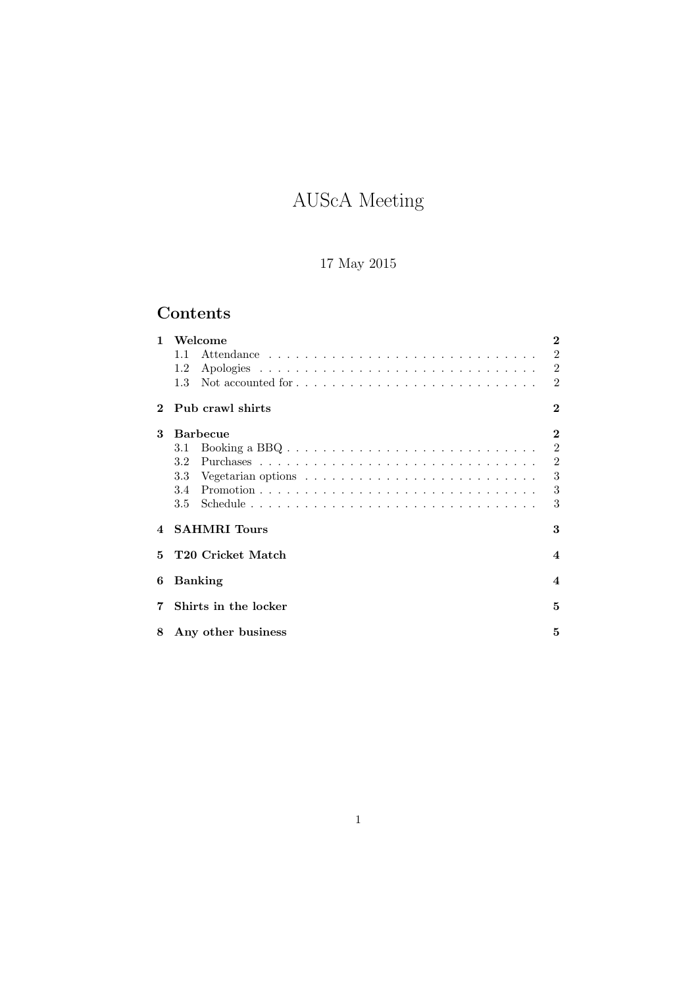# AUScA Meeting

# 17 May 2015

# Contents

| $\mathbf{1}$   | Welcome                       | 2                           |
|----------------|-------------------------------|-----------------------------|
|                | 1.1                           | $\overline{2}$              |
|                | 1.2                           | $\overline{2}$              |
|                | 1.3                           | $\overline{2}$              |
| $\mathbf 2$    | Pub crawl shirts              | $\bf{2}$                    |
| 3              | <b>Barbecue</b>               | $\bf{2}$                    |
|                | 3.1                           | $\mathfrak{D}$              |
|                | 3.2                           | $\overline{2}$              |
|                | 3.3                           | 3                           |
|                | 3.4                           | 3                           |
|                | $3.5\,$                       | 3                           |
| $\overline{4}$ | <b>SAHMRI</b> Tours           | 3                           |
| 5.             | T <sub>20</sub> Cricket Match | 4                           |
| 6              | <b>Banking</b>                | $\boldsymbol{\vartriangle}$ |
| 7              | Shirts in the locker          | 5                           |
| 8              | Any other business            | 5                           |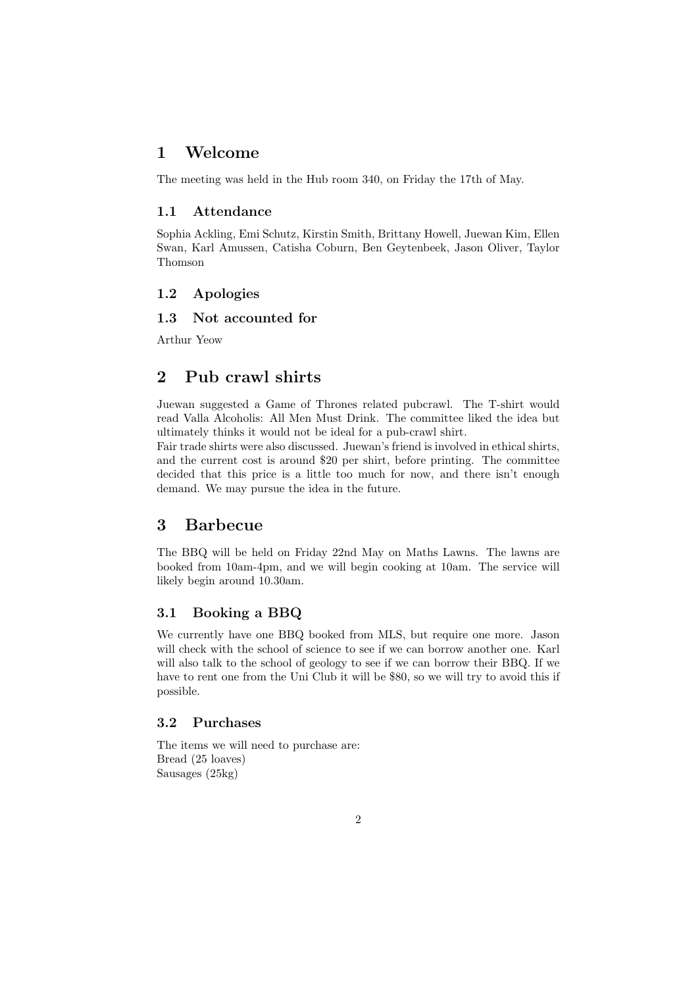## 1 Welcome

The meeting was held in the Hub room 340, on Friday the 17th of May.

#### 1.1 Attendance

Sophia Ackling, Emi Schutz, Kirstin Smith, Brittany Howell, Juewan Kim, Ellen Swan, Karl Amussen, Catisha Coburn, Ben Geytenbeek, Jason Oliver, Taylor Thomson

#### 1.2 Apologies

#### 1.3 Not accounted for

Arthur Yeow

# 2 Pub crawl shirts

Juewan suggested a Game of Thrones related pubcrawl. The T-shirt would read Valla Alcoholis: All Men Must Drink. The committee liked the idea but ultimately thinks it would not be ideal for a pub-crawl shirt.

Fair trade shirts were also discussed. Juewan's friend is involved in ethical shirts, and the current cost is around \$20 per shirt, before printing. The committee decided that this price is a little too much for now, and there isn't enough demand. We may pursue the idea in the future.

# 3 Barbecue

The BBQ will be held on Friday 22nd May on Maths Lawns. The lawns are booked from 10am-4pm, and we will begin cooking at 10am. The service will likely begin around 10.30am.

#### 3.1 Booking a BBQ

We currently have one BBQ booked from MLS, but require one more. Jason will check with the school of science to see if we can borrow another one. Karl will also talk to the school of geology to see if we can borrow their BBQ. If we have to rent one from the Uni Club it will be \$80, so we will try to avoid this if possible.

#### 3.2 Purchases

The items we will need to purchase are: Bread (25 loaves) Sausages (25kg)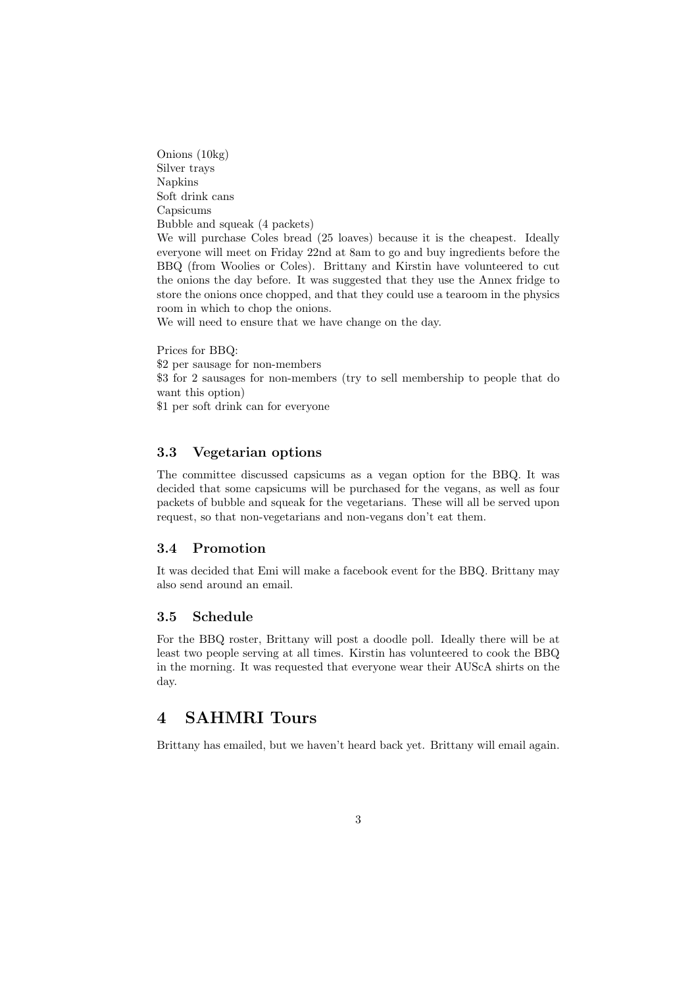Onions (10kg) Silver trays Napkins Soft drink cans Capsicums Bubble and squeak (4 packets) We will purchase Coles bread (25 loaves) because it is the cheapest. Ideally everyone will meet on Friday 22nd at 8am to go and buy ingredients before the BBQ (from Woolies or Coles). Brittany and Kirstin have volunteered to cut the onions the day before. It was suggested that they use the Annex fridge to store the onions once chopped, and that they could use a tearoom in the physics room in which to chop the onions. We will need to ensure that we have change on the day.

Prices for BBQ: \$2 per sausage for non-members \$3 for 2 sausages for non-members (try to sell membership to people that do want this option) \$1 per soft drink can for everyone

#### 3.3 Vegetarian options

The committee discussed capsicums as a vegan option for the BBQ. It was decided that some capsicums will be purchased for the vegans, as well as four packets of bubble and squeak for the vegetarians. These will all be served upon request, so that non-vegetarians and non-vegans don't eat them.

#### 3.4 Promotion

It was decided that Emi will make a facebook event for the BBQ. Brittany may also send around an email.

#### 3.5 Schedule

For the BBQ roster, Brittany will post a doodle poll. Ideally there will be at least two people serving at all times. Kirstin has volunteered to cook the BBQ in the morning. It was requested that everyone wear their AUScA shirts on the day.

# 4 SAHMRI Tours

Brittany has emailed, but we haven't heard back yet. Brittany will email again.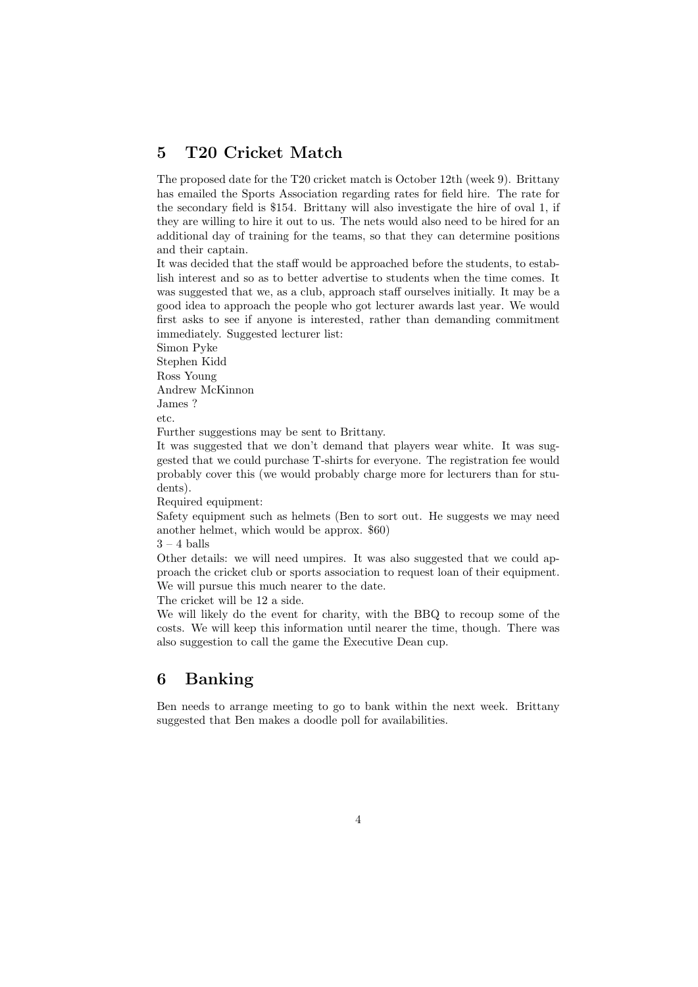# 5 T20 Cricket Match

The proposed date for the T20 cricket match is October 12th (week 9). Brittany has emailed the Sports Association regarding rates for field hire. The rate for the secondary field is \$154. Brittany will also investigate the hire of oval 1, if they are willing to hire it out to us. The nets would also need to be hired for an additional day of training for the teams, so that they can determine positions and their captain.

It was decided that the staff would be approached before the students, to establish interest and so as to better advertise to students when the time comes. It was suggested that we, as a club, approach staff ourselves initially. It may be a good idea to approach the people who got lecturer awards last year. We would first asks to see if anyone is interested, rather than demanding commitment immediately. Suggested lecturer list:

Simon Pyke

Stephen Kidd Ross Young

Andrew McKinnon

James ? etc.

Further suggestions may be sent to Brittany.

It was suggested that we don't demand that players wear white. It was suggested that we could purchase T-shirts for everyone. The registration fee would probably cover this (we would probably charge more for lecturers than for students).

Required equipment:

Safety equipment such as helmets (Ben to sort out. He suggests we may need another helmet, which would be approx. \$60)

 $3 - 4$  balls

Other details: we will need umpires. It was also suggested that we could approach the cricket club or sports association to request loan of their equipment. We will pursue this much nearer to the date.

The cricket will be 12 a side.

We will likely do the event for charity, with the BBQ to recoup some of the costs. We will keep this information until nearer the time, though. There was also suggestion to call the game the Executive Dean cup.

# 6 Banking

Ben needs to arrange meeting to go to bank within the next week. Brittany suggested that Ben makes a doodle poll for availabilities.